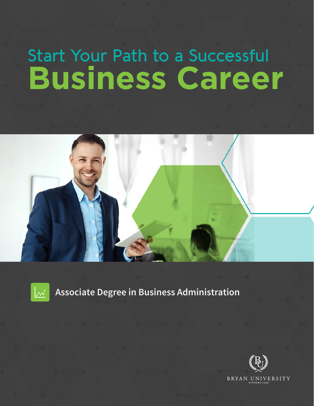## Start Your Path to a Successful **Business Career**





### **Associate Degree in Business Administration**

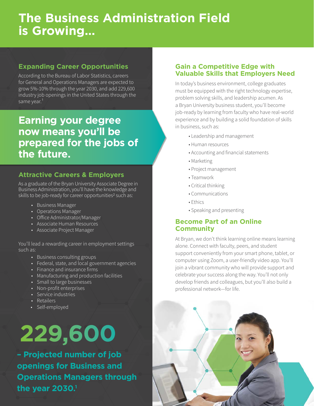## **The Business Administration Field is Growing…**

#### **Expanding Career Opportunities**

According to the Bureau of Labor Statistics, careers for General and Operations Managers are expected to grow 5%-10% through the year 2030, and add 229,600 industry job openings in the United States through the same year.<sup>1</sup>

### **Earning your degree now means you'll be prepared for the jobs of the future.**

#### **Attractive Careers & Employers**

As a graduate of the Bryan University Associate Degree in Business Administration, you'll have the knowledge and skills to be job-ready for career opportunities<sup>2</sup> such as:

- Business Manager
- Operations Manager
- Office Administrator/Manager
- Associate Human Resources
- Associate Project Manager

You'll lead a rewarding career in employment settings such as:

- Business consulting groups
- Federal, state, and local government agencies
- Finance and insurance firms
- Manufacturing and production facilities
- Small to large businesses
- Non-profit enterprises
- Service industries
- Retailers
- Self-employed

# **229,600**

**– Projected number of job openings for Business and Operations Managers through the year 2030.1**

#### **Gain a Competitive Edge with Valuable Skills that Employers Need**

In today's business environment, college graduates must be equipped with the right technology expertise, problem solving skills, and leadership acumen. As a Bryan University business student, you'll become job-ready by learning from faculty who have real-world experience and by building a solid foundation of skills in business, such as:

- Leadership and management
- Human resources
- Accounting and financial statements
- Marketing
- Project management
- Teamwork
- Critical thinking
- Communications
- Ethics
- Speaking and presenting

#### **Become Part of an Online Community**

At Bryan, we don't think learning online means learning alone. Connect with faculty, peers, and student support conveniently from your smart phone, tablet, or computer using Zoom, a user-friendly video app. You'll join a vibrant community who will provide support and celebrate your success along the way. You'll not only develop friends and colleagues, but you'll also build a professional network—for life.

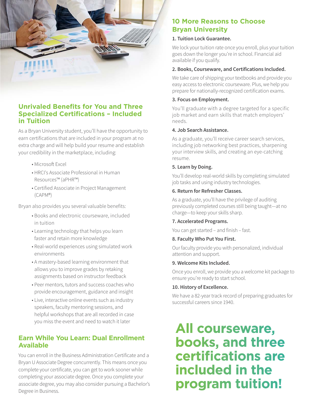

#### **Unrivaled Benefits for You and Three Specialized Certifications – Included in Tuition**

As a Bryan University student, you'll have the opportunity to earn certifications that are included in your program at no extra charge and will help build your resume and establish your credibility in the marketplace, including:

- Microsoft Excel
- HRCI's Associate Professional in Human Resources™ (aPHR™)
- Certified Associate in Project Management (CAPM®)

Bryan also provides you several valuable benefits:

- Books and electronic courseware, included in tuition
- Learning technology that helps you learn faster and retain more knowledge
- Real-world experiences using simulated work environments
- A mastery-based learning environment that allows you to improve grades by retaking assignments based on instructor feedback
- Peer mentors, tutors and success coaches who provide encouragement, guidance and insight
- Live, interactive online events such as industry speakers, faculty mentoring sessions, and helpful workshops that are all recorded in case you miss the event and need to watch it later

#### **Earn While You Learn: Dual Enrollment Available**

You can enroll in the Business Administration Certificate and a Bryan U Associate Degree concurrently. This means once you complete your certificate, you can get to work sooner while completing your associate degree. Once you complete your associate degree, you may also consider pursuing a Bachelor's Degree in Business.

#### **10 More Reasons to Choose Bryan University**

#### **1. Tuition Lock Guarantee.**

We lock your tuition rate once you enroll, plus your tuition goes down the longer you're in school. Financial aid available if you qualify.

#### **2. Books, Courseware, and Certifications Included.**

We take care of shipping your textbooks and provide you easy access to electronic courseware. Plus, we help you prepare for nationally-recognized certification exams.

#### **3. Focus on Employment.**

You'll graduate with a degree targeted for a specific job market and earn skills that match employers' needs.

#### **4. Job Search Assistance.**

As a graduate, you'll receive career search services, including job networking best practices, sharpening your interview skills, and creating an eye-catching resume.

#### **5. Learn by Doing.**

You'll develop real-world skills by completing simulated job tasks and using industry technologies.

#### **6. Return for Refresher Classes.**

As a graduate, you'll have the privilege of auditing previously completed courses still being taught—at no charge—to keep your skills sharp.

#### **7. Accelerated Programs.**

You can get started – and finish – fast.

#### **8. Faculty Who Put You First.**

Our faculty provide you with personalized, individual attention and support.

#### **9. Welcome Kits Included.**

Once you enroll, we provide you a welcome kit package to ensure you're ready to start school.

#### **10. History of Excellence.**

We have a 82-year track record of preparing graduates for successful careers since 1940.

## **All courseware, books, and three certifications are included in the program tuition!**